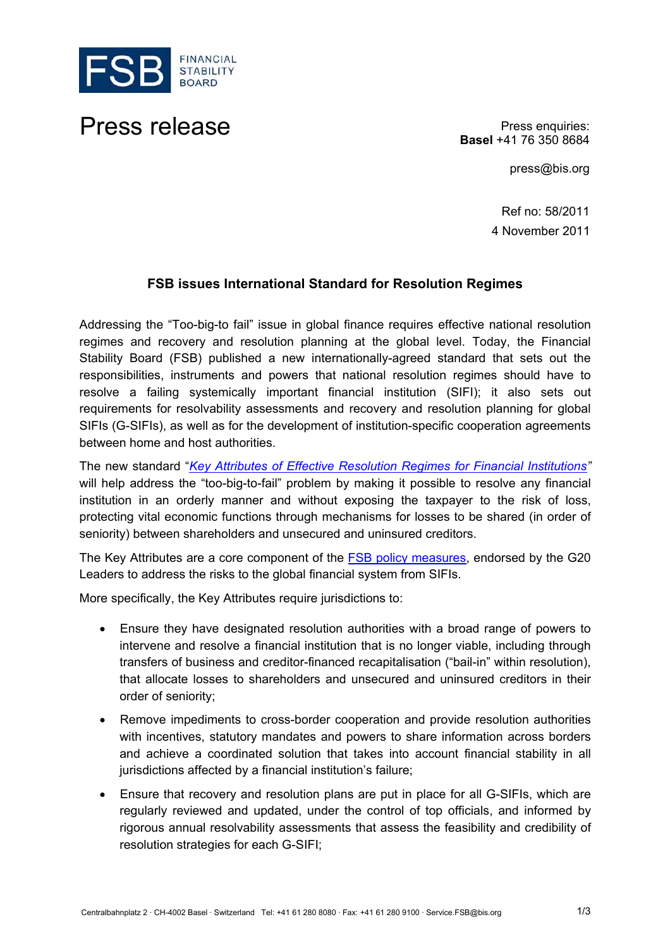

## Press release **Press enquiries:**

**Basel** +41 76 350 8684

press@bis.org

Ref no: 58/2011 4 November 2011

## **FSB issues International Standard for Resolution Regimes**

Addressing the "Too-big-to fail" issue in global finance requires effective national resolution regimes and recovery and resolution planning at the global level. Today, the Financial Stability Board (FSB) published a new internationally-agreed standard that sets out the responsibilities, instruments and powers that national resolution regimes should have to resolve a failing systemically important financial institution (SIFI); it also sets out requirements for resolvability assessments and recovery and resolution planning for global SIFIs (G-SIFIs), as well as for the development of institution-specific cooperation agreements between home and host authorities.

The new standard "*Key Attributes of Effective Resolution Regimes for Financial Institutions"* will help address the "too-big-to-fail" problem by making it possible to resolve any financial institution in an orderly manner and without exposing the taxpayer to the risk of loss, protecting vital economic functions through mechanisms for losses to be shared (in order of seniority) between shareholders and unsecured and uninsured creditors.

The Key Attributes are a core component of the FSB policy measures, endorsed by the G20 Leaders to address the risks to the global financial system from SIFIs.

More specifically, the Key Attributes require jurisdictions to:

- Ensure they have designated resolution authorities with a broad range of powers to intervene and resolve a financial institution that is no longer viable, including through transfers of business and creditor-financed recapitalisation ("bail-in" within resolution), that allocate losses to shareholders and unsecured and uninsured creditors in their order of seniority;
- Remove impediments to cross-border cooperation and provide resolution authorities with incentives, statutory mandates and powers to share information across borders and achieve a coordinated solution that takes into account financial stability in all jurisdictions affected by a financial institution's failure;
- Ensure that recovery and resolution plans are put in place for all G-SIFIs, which are regularly reviewed and updated, under the control of top officials, and informed by rigorous annual resolvability assessments that assess the feasibility and credibility of resolution strategies for each G-SIFI;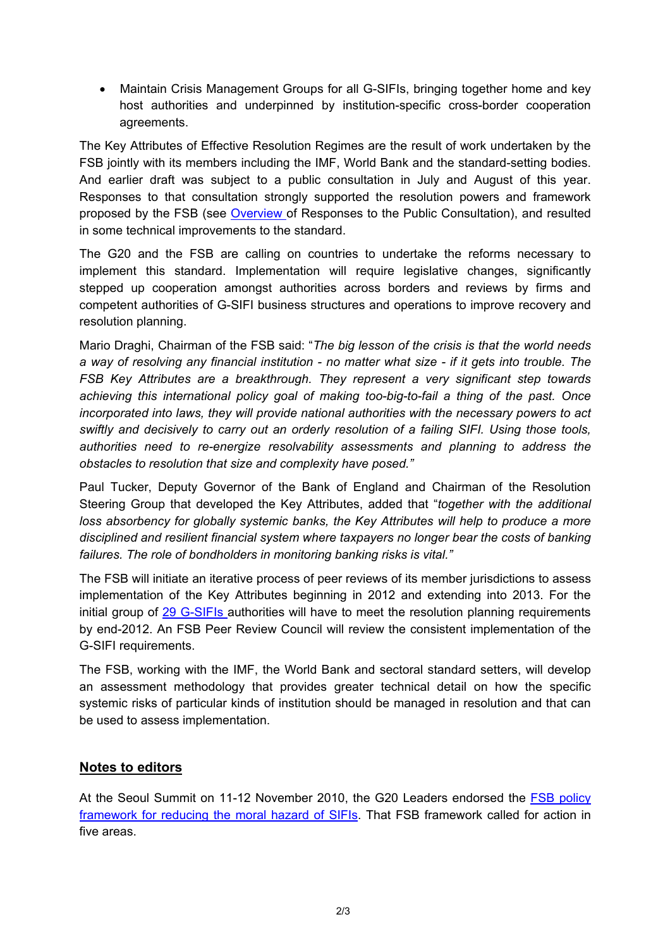Maintain Crisis Management Groups for all G-SIFIs, bringing together home and key host authorities and underpinned by institution-specific cross-border cooperation agreements.

The Key Attributes of Effective Resolution Regimes are the result of work undertaken by the FSB jointly with its members including the IMF, World Bank and the standard-setting bodies. And earlier draft was subject to a [public consultation](http://www.financialstabilityboard.org/publications/r_110719.pdf) in July and August of this year. [Responses to that consultation](http://www.financialstabilityboard.org/press/c_110909.htm) strongly supported the resolution powers and framework proposed by the FSB (see Overview of Responses to the Public Consultation), and resulted in some technical improvements to the standard.

The G20 and the FSB are calling on countries to undertake the reforms necessary to implement this standard. Implementation will require legislative changes, significantly stepped up cooperation amongst authorities across borders and reviews by firms and competent authorities of G-SIFI business structures and operations to improve recovery and resolution planning.

Mario Draghi, Chairman of the FSB said: "*The big lesson of the crisis is that the world needs a way of resolving any financial institution - no matter what size - if it gets into trouble. The FSB Key Attributes are a breakthrough. They represent a very significant step towards achieving this international policy goal of making too-big-to-fail a thing of the past. Once incorporated into laws, they will provide national authorities with the necessary powers to act swiftly and decisively to carry out an orderly resolution of a failing SIFI. Using those tools, authorities need to re-energize resolvability assessments and planning to address the obstacles to resolution that size and complexity have posed."* 

Paul Tucker, Deputy Governor of the Bank of England and Chairman of the Resolution Steering Group that developed the Key Attributes, added that "*together with the additional loss absorbency for globally systemic banks, the Key Attributes will help to produce a more disciplined and resilient financial system where taxpayers no longer bear the costs of banking failures. The role of bondholders in monitoring banking risks is vital."*

The FSB will initiate an iterative process of peer reviews of its member jurisdictions to assess implementation of the Key Attributes beginning in 2012 and extending into 2013. For the initial group of 29 G-SIFIs authorities will have to meet the resolution planning requirements by end-2012. An FSB Peer Review Council will review the consistent implementation of the G-SIFI requirements.

The FSB, working with the IMF, the World Bank and sectoral standard setters, will develop an assessment methodology that provides greater technical detail on how the specific systemic risks of particular kinds of institution should be managed in resolution and that can be used to assess implementation.

## **Notes to editors**

At the Seoul Summit on 11-12 November 2010, the G20 Leaders endorsed the FSB policy [framework for reducing the moral hazard of SIFIs.](http://www.financialstabilityboard.org/publications/r_101111a.pdf) That FSB framework called for action in five areas.